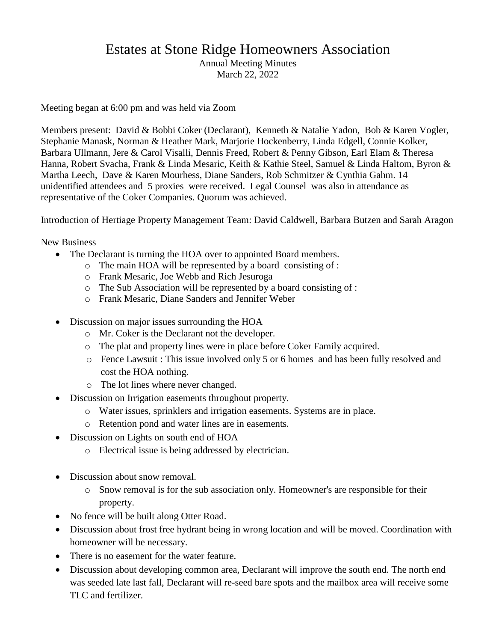## Estates at Stone Ridge Homeowners Association

Annual Meeting Minutes March 22, 2022

Meeting began at 6:00 pm and was held via Zoom

Members present: David & Bobbi Coker (Declarant), Kenneth & Natalie Yadon, Bob & Karen Vogler, Stephanie Manask, Norman & Heather Mark, Marjorie Hockenberry, Linda Edgell, Connie Kolker, Barbara Ullmann, Jere & Carol Visalli, Dennis Freed, Robert & Penny Gibson, Earl Elam & Theresa Hanna, Robert Svacha, Frank & Linda Mesaric, Keith & Kathie Steel, Samuel & Linda Haltom, Byron & Martha Leech, Dave & Karen Mourhess, Diane Sanders, Rob Schmitzer & Cynthia Gahm. 14 unidentified attendees and 5 proxies were received. Legal Counsel was also in attendance as representative of the Coker Companies. Quorum was achieved.

Introduction of Hertiage Property Management Team: David Caldwell, Barbara Butzen and Sarah Aragon

New Business

- The Declarant is turning the HOA over to appointed Board members.
	- o The main HOA will be represented by a board consisting of :
	- o Frank Mesaric, Joe Webb and Rich Jesuroga
	- o The Sub Association will be represented by a board consisting of :
	- o Frank Mesaric, Diane Sanders and Jennifer Weber
- Discussion on major issues surrounding the HOA
	- o Mr. Coker is the Declarant not the developer.
	- o The plat and property lines were in place before Coker Family acquired.
	- o Fence Lawsuit : This issue involved only 5 or 6 homes and has been fully resolved and cost the HOA nothing.
	- o The lot lines where never changed.
- Discussion on Irrigation easements throughout property.
	- o Water issues, sprinklers and irrigation easements. Systems are in place.
	- o Retention pond and water lines are in easements.
- Discussion on Lights on south end of HOA
	- o Electrical issue is being addressed by electrician.
- Discussion about snow removal.
	- o Snow removal is for the sub association only. Homeowner's are responsible for their property.
- No fence will be built along Otter Road.
- Discussion about frost free hydrant being in wrong location and will be moved. Coordination with homeowner will be necessary.
- There is no easement for the water feature.
- Discussion about developing common area, Declarant will improve the south end. The north end was seeded late last fall, Declarant will re-seed bare spots and the mailbox area will receive some TLC and fertilizer.